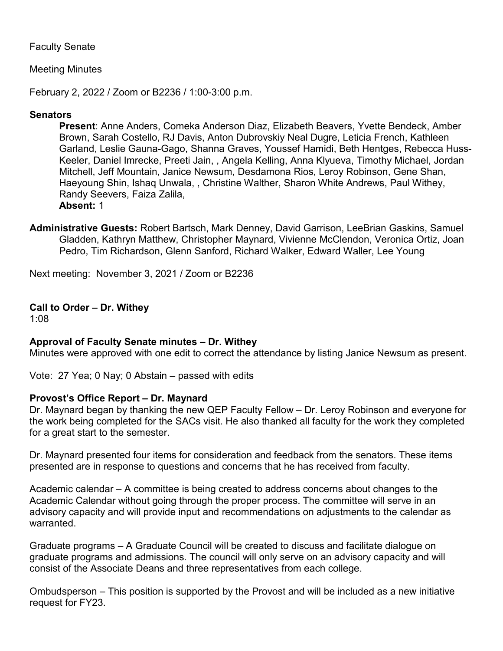# Faculty Senate

# Meeting Minutes

February 2, 2022 / Zoom or B2236 / 1:00-3:00 p.m.

# **Senators**

**Present**: Anne Anders, Comeka Anderson Diaz, Elizabeth Beavers, Yvette Bendeck, Amber Brown, Sarah Costello, RJ Davis, Anton Dubrovskiy Neal Dugre, Leticia French, Kathleen Garland, Leslie Gauna-Gago, Shanna Graves, Youssef Hamidi, Beth Hentges, Rebecca Huss-Keeler, Daniel Imrecke, Preeti Jain, , Angela Kelling, Anna Klyueva, Timothy Michael, Jordan Mitchell, Jeff Mountain, Janice Newsum, Desdamona Rios, Leroy Robinson, Gene Shan, Haeyoung Shin, Ishaq Unwala, , Christine Walther, Sharon White Andrews, Paul Withey, Randy Seevers, Faiza Zalila, **Absent:** 1

**Administrative Guests:** Robert Bartsch, Mark Denney, David Garrison, LeeBrian Gaskins, Samuel Gladden, Kathryn Matthew, Christopher Maynard, Vivienne McClendon, Veronica Ortiz, Joan Pedro, Tim Richardson, Glenn Sanford, Richard Walker, Edward Waller, Lee Young

Next meeting: November 3, 2021 / Zoom or B2236

# **Call to Order – Dr. Withey**

1:08

### **Approval of Faculty Senate minutes – Dr. Withey**

Minutes were approved with one edit to correct the attendance by listing Janice Newsum as present.

Vote: 27 Yea; 0 Nay; 0 Abstain – passed with edits

### **Provost's Office Report – Dr. Maynard**

Dr. Maynard began by thanking the new QEP Faculty Fellow – Dr. Leroy Robinson and everyone for the work being completed for the SACs visit. He also thanked all faculty for the work they completed for a great start to the semester.

Dr. Maynard presented four items for consideration and feedback from the senators. These items presented are in response to questions and concerns that he has received from faculty.

Academic calendar – A committee is being created to address concerns about changes to the Academic Calendar without going through the proper process. The committee will serve in an advisory capacity and will provide input and recommendations on adjustments to the calendar as warranted.

Graduate programs – A Graduate Council will be created to discuss and facilitate dialogue on graduate programs and admissions. The council will only serve on an advisory capacity and will consist of the Associate Deans and three representatives from each college.

Ombudsperson – This position is supported by the Provost and will be included as a new initiative request for FY23.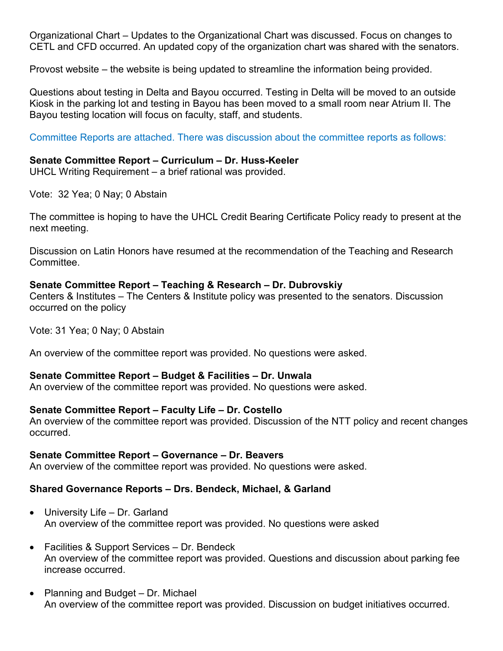Organizational Chart – Updates to the Organizational Chart was discussed. Focus on changes to CETL and CFD occurred. An updated copy of the organization chart was shared with the senators.

Provost website – the website is being updated to streamline the information being provided.

Questions about testing in Delta and Bayou occurred. Testing in Delta will be moved to an outside Kiosk in the parking lot and testing in Bayou has been moved to a small room near Atrium II. The Bayou testing location will focus on faculty, staff, and students.

Committee Reports are attached. There was discussion about the committee reports as follows:

#### **Senate Committee Report – Curriculum – Dr. Huss-Keeler**

UHCL Writing Requirement – a brief rational was provided.

Vote: 32 Yea; 0 Nay; 0 Abstain

The committee is hoping to have the UHCL Credit Bearing Certificate Policy ready to present at the next meeting.

Discussion on Latin Honors have resumed at the recommendation of the Teaching and Research Committee.

#### **Senate Committee Report – Teaching & Research – Dr. Dubrovskiy**

Centers & Institutes – The Centers & Institute policy was presented to the senators. Discussion occurred on the policy

Vote: 31 Yea; 0 Nay; 0 Abstain

An overview of the committee report was provided. No questions were asked.

### **Senate Committee Report – Budget & Facilities – Dr. Unwala**

An overview of the committee report was provided. No questions were asked.

### **Senate Committee Report – Faculty Life – Dr. Costello**

An overview of the committee report was provided. Discussion of the NTT policy and recent changes occurred.

#### **Senate Committee Report – Governance – Dr. Beavers**

An overview of the committee report was provided. No questions were asked.

### **Shared Governance Reports – Drs. Bendeck, Michael, & Garland**

- University Life Dr. Garland An overview of the committee report was provided. No questions were asked
- Facilities & Support Services Dr. Bendeck An overview of the committee report was provided. Questions and discussion about parking fee increase occurred.
- Planning and Budget Dr. Michael An overview of the committee report was provided. Discussion on budget initiatives occurred.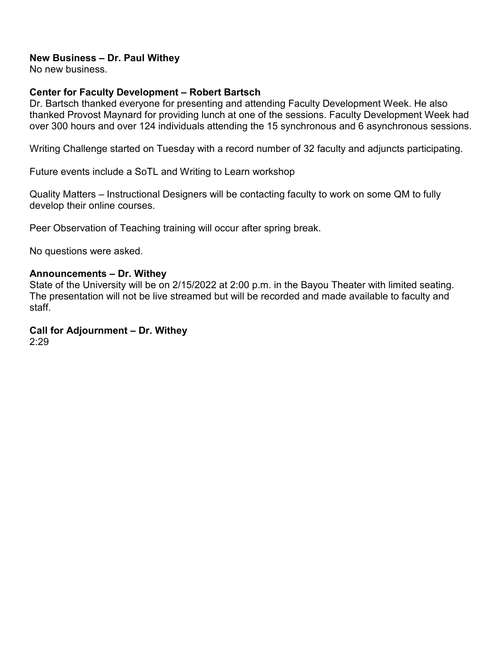### **New Business – Dr. Paul Withey**

No new business.

# **Center for Faculty Development – Robert Bartsch**

Dr. Bartsch thanked everyone for presenting and attending Faculty Development Week. He also thanked Provost Maynard for providing lunch at one of the sessions. Faculty Development Week had over 300 hours and over 124 individuals attending the 15 synchronous and 6 asynchronous sessions.

Writing Challenge started on Tuesday with a record number of 32 faculty and adjuncts participating.

Future events include a SoTL and Writing to Learn workshop

Quality Matters – Instructional Designers will be contacting faculty to work on some QM to fully develop their online courses.

Peer Observation of Teaching training will occur after spring break.

No questions were asked.

#### **Announcements – Dr. Withey**

State of the University will be on 2/15/2022 at 2:00 p.m. in the Bayou Theater with limited seating. The presentation will not be live streamed but will be recorded and made available to faculty and staff.

#### **Call for Adjournment – Dr. Withey**  2:29